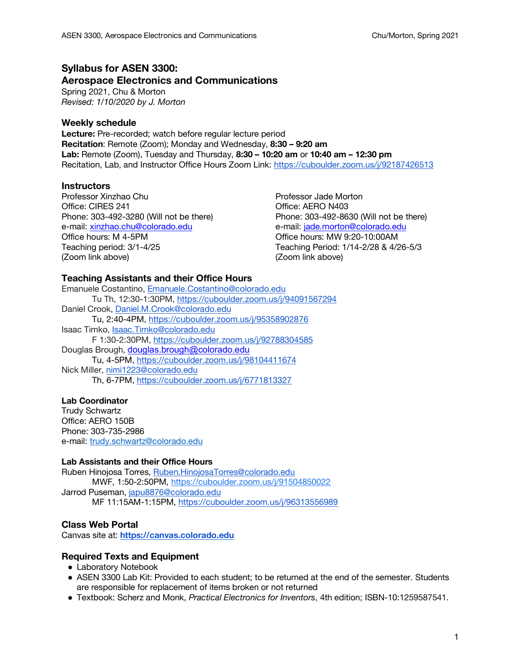# **Syllabus for ASEN 3300: Aerospace Electronics and Communications**

Spring 2021, Chu & Morton *Revised: 1/10/2020 by J. Morton*

## **Weekly schedule**

**Lecture:** Pre-recorded; watch before regular lecture period **Recitation**: Remote (Zoom); Monday and Wednesday, **8:30 – 9:20 am Lab:** Remote (Zoom), Tuesday and Thursday, **8:30 – 10:20 am** or **10:40 am – 12:30 pm** Recitation, Lab, and Instructor Office Hours Zoom Link: https://cuboulder.zoom.us/j/92187426513

## **Instructors**

Professor Xinzhao Chu **Professor Jade Morton** Office: CIRES 241 CHERO N403 e-mail: xinzhao.chu@colorado.edu e-mail: jade.morton@colorado.edu Office hours: M 4-5PM Office hours: MW 9:20-10:00AM Teaching period: 3/1-4/25 Teaching Period: 1/14-2/28 & 4/26-5/3 (Zoom link above) (Zoom link above)

Phone: 303-492-3280 (Will not be there) Phone: 303-492-8630 (Will not be there)

## **Teaching Assistants and their Office Hours**

```
Emanuele Costantino, Emanuele.Costantino@colorado.edu
       Tu Th, 12:30-1:30PM, https://cuboulder.zoom.us/j/94091567294
Daniel Crook, Daniel.M.Crook@colorado.edu
       Tu, 2:40-4PM, https://cuboulder.zoom.us/j/95358902876
Isaac Timko, Isaac.Timko@colorado.edu
       F 1:30-2:30PM, https://cuboulder.zoom.us/j/92788304585
Douglas Brough, douglas.brough@colorado.edu
       Tu, 4-5PM, https://cuboulder.zoom.us/j/98104411674
Nick Miller, nimi1223@colorado.edu
       Th, 6-7PM, https://cuboulder.zoom.us/j/6771813327
```
### **Lab Coordinator**

Trudy Schwartz Office: AERO 150B Phone: 303-735-2986 e-mail: trudy.schwartz@colorado.edu

### **Lab Assistants and their Office Hours**

Ruben Hinojosa Torres, Ruben.HinojosaTorres@colorado.edu MWF, 1:50-2:50PM, https://cuboulder.zoom.us/j/91504850022 Jarrod Puseman, japu8876@colorado.edu MF 11:15AM-1:15PM, https://cuboulder.zoom.us/j/96313556989

## **Class Web Portal**

Canvas site at: **https://canvas.colorado.edu**

## **Required Texts and Equipment**

- Laboratory Notebook
- ASEN 3300 Lab Kit: Provided to each student; to be returned at the end of the semester. Students are responsible for replacement of items broken or not returned
- Textbook: Scherz and Monk, *Practical Electronics for Inventors*, 4th edition; ISBN-10:1259587541.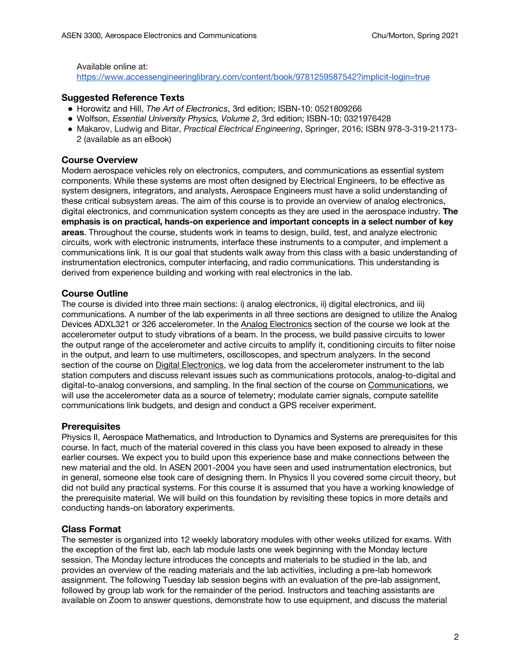Available online at:

https://www.accessengineeringlibrary.com/content/book/9781259587542?implicit-login=true

### **Suggested Reference Texts**

- Horowitz and Hill, *The Art of Electronics*, 3rd edition; ISBN-10: 0521809266
- Wolfson, *Essential University Physics, Volume 2, 3rd edition: ISBN-10: 0321976428*
- Makarov, Ludwig and Bitar, *Practical Electrical Engineering*, Springer, 2016; ISBN 978-3-319-21173- 2 (available as an eBook)

### **Course Overview**

Modern aerospace vehicles rely on electronics, computers, and communications as essential system components. While these systems are most often designed by Electrical Engineers, to be effective as system designers, integrators, and analysts, Aerospace Engineers must have a solid understanding of these critical subsystem areas. The aim of this course is to provide an overview of analog electronics, digital electronics, and communication system concepts as they are used in the aerospace industry. **The emphasis is on practical, hands-on experience and important concepts in a select number of key areas**. Throughout the course, students work in teams to design, build, test, and analyze electronic circuits, work with electronic instruments, interface these instruments to a computer, and implement a communications link. It is our goal that students walk away from this class with a basic understanding of instrumentation electronics, computer interfacing, and radio communications. This understanding is derived from experience building and working with real electronics in the lab.

## **Course Outline**

The course is divided into three main sections: i) analog electronics, ii) digital electronics, and iii) communications. A number of the lab experiments in all three sections are designed to utilize the Analog Devices ADXL321 or 326 accelerometer. In the Analog Electronics section of the course we look at the accelerometer output to study vibrations of a beam. In the process, we build passive circuits to lower the output range of the accelerometer and active circuits to amplify it, conditioning circuits to filter noise in the output, and learn to use multimeters, oscilloscopes, and spectrum analyzers. In the second section of the course on Digital Electronics, we log data from the accelerometer instrument to the lab station computers and discuss relevant issues such as communications protocols, analog-to-digital and digital-to-analog conversions, and sampling. In the final section of the course on Communications, we will use the accelerometer data as a source of telemetry; modulate carrier signals, compute satellite communications link budgets, and design and conduct a GPS receiver experiment.

### **Prerequisites**

Physics II, Aerospace Mathematics, and Introduction to Dynamics and Systems are prerequisites for this course. In fact, much of the material covered in this class you have been exposed to already in these earlier courses. We expect you to build upon this experience base and make connections between the new material and the old. In ASEN 2001-2004 you have seen and used instrumentation electronics, but in general, someone else took care of designing them. In Physics II you covered some circuit theory, but did not build any practical systems. For this course it is assumed that you have a working knowledge of the prerequisite material. We will build on this foundation by revisiting these topics in more details and conducting hands-on laboratory experiments.

## **Class Format**

The semester is organized into 12 weekly laboratory modules with other weeks utilized for exams. With the exception of the first lab, each lab module lasts one week beginning with the Monday lecture session. The Monday lecture introduces the concepts and materials to be studied in the lab, and provides an overview of the reading materials and the lab activities, including a pre-lab homework assignment. The following Tuesday lab session begins with an evaluation of the pre-lab assignment, followed by group lab work for the remainder of the period. Instructors and teaching assistants are available on Zoom to answer questions, demonstrate how to use equipment, and discuss the material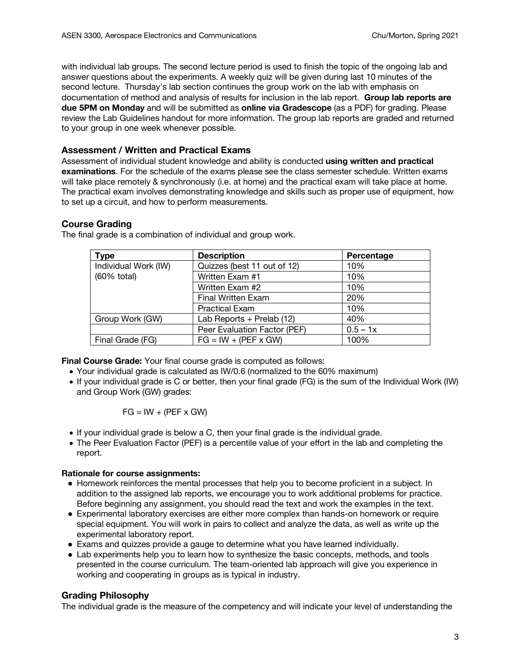with individual lab groups. The second lecture period is used to finish the topic of the ongoing lab and answer questions about the experiments. A weekly quiz will be given during last 10 minutes of the second lecture. Thursday's lab section continues the group work on the lab with emphasis on documentation of method and analysis of results for inclusion in the lab report. **Group lab reports are due 5PM on Monday** and will be submitted as **online via Gradescope** (as a PDF) for grading. Please review the Lab Guidelines handout for more information. The group lab reports are graded and returned to your group in one week whenever possible.

## **Assessment / Written and Practical Exams**

Assessment of individual student knowledge and ability is conducted **using written and practical examinations**. For the schedule of the exams please see the class semester schedule. Written exams will take place remotely & synchronously (i.e. at home) and the practical exam will take place at home. The practical exam involves demonstrating knowledge and skills such as proper use of equipment, how to set up a circuit, and how to perform measurements.

## **Course Grading**

| <b>Type</b>          | <b>Description</b>           | Percentage |
|----------------------|------------------------------|------------|
| Individual Work (IW) | Quizzes (best 11 out of 12)  | 10%        |
| (60% total)          | Written Exam #1              | 10%        |
|                      | Written Exam #2              | 10%        |
|                      | <b>Final Written Exam</b>    | 20%        |
|                      | <b>Practical Exam</b>        | 10%        |
| Group Work (GW)      | Lab Reports + Prelab (12)    | 40%        |
|                      | Peer Evaluation Factor (PEF) | $0.5 - 1x$ |
| Final Grade (FG)     | $FG = IW + (PEF \times GW)$  | 100%       |

The final grade is a combination of individual and group work.

**Final Course Grade:** Your final course grade is computed as follows:

- Your individual grade is calculated as IW/0.6 (normalized to the 60% maximum)
- If your individual grade is C or better, then your final grade (FG) is the sum of the Individual Work (IW) and Group Work (GW) grades:

$$
FG = IW + (PEF \times GW)
$$

- If your individual grade is below a C, then your final grade is the individual grade.
- The Peer Evaluation Factor (PEF) is a percentile value of your effort in the lab and completing the report.

## **Rationale for course assignments:**

- Homework reinforces the mental processes that help you to become proficient in a subject. In addition to the assigned lab reports, we encourage you to work additional problems for practice. Before beginning any assignment, you should read the text and work the examples in the text.
- Experimental laboratory exercises are either more complex than hands-on homework or require special equipment. You will work in pairs to collect and analyze the data, as well as write up the experimental laboratory report.
- Exams and quizzes provide a gauge to determine what you have learned individually.
- Lab experiments help you to learn how to synthesize the basic concepts, methods, and tools presented in the course curriculum. The team-oriented lab approach will give you experience in working and cooperating in groups as is typical in industry.

# **Grading Philosophy**

The individual grade is the measure of the competency and will indicate your level of understanding the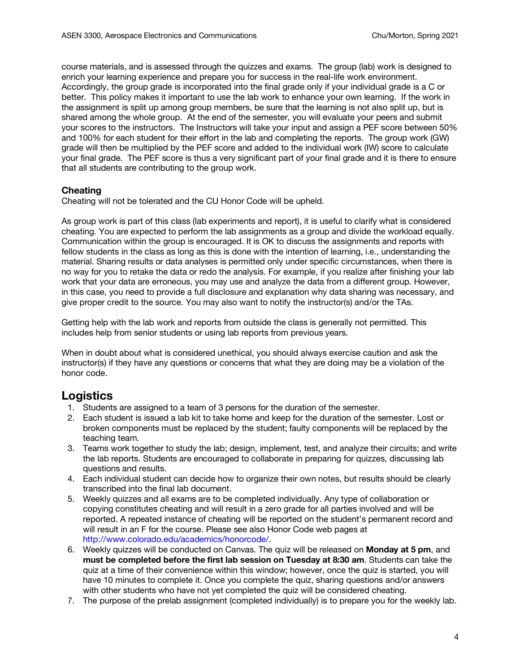course materials, and is assessed through the quizzes and exams. The group (lab) work is designed to enrich your learning experience and prepare you for success in the real-life work environment. Accordingly, the group grade is incorporated into the final grade only if your individual grade is a C or better. This policy makes it important to use the lab work to enhance your own learning. If the work in the assignment is split up among group members, be sure that the learning is not also split up, but is shared among the whole group. At the end of the semester, you will evaluate your peers and submit your scores to the instructors. The Instructors will take your input and assign a PEF score between 50% and 100% for each student for their effort in the lab and completing the reports. The group work (GW) grade will then be multiplied by the PEF score and added to the individual work (IW) score to calculate your final grade. The PEF score is thus a very significant part of your final grade and it is there to ensure that all students are contributing to the group work.

## **Cheating**

Cheating will not be tolerated and the CU Honor Code will be upheld.

As group work is part of this class (lab experiments and report), it is useful to clarify what is considered cheating. You are expected to perform the lab assignments as a group and divide the workload equally. Communication within the group is encouraged. It is OK to discuss the assignments and reports with fellow students in the class as long as this is done with the intention of learning, i.e., understanding the material. Sharing results or data analyses is permitted only under specific circumstances, when there is no way for you to retake the data or redo the analysis. For example, if you realize after finishing your lab work that your data are erroneous, you may use and analyze the data from a different group. However, in this case, you need to provide a full disclosure and explanation why data sharing was necessary, and give proper credit to the source. You may also want to notify the instructor(s) and/or the TAs.

Getting help with the lab work and reports from outside the class is generally not permitted. This includes help from senior students or using lab reports from previous years.

When in doubt about what is considered unethical, you should always exercise caution and ask the instructor(s) if they have any questions or concerns that what they are doing may be a violation of the honor code.

# **Logistics**

- 1. Students are assigned to a team of 3 persons for the duration of the semester.
- 2. Each student is issued a lab kit to take home and keep for the duration of the semester. Lost or broken components must be replaced by the student; faulty components will be replaced by the teaching team.
- 3. Teams work together to study the lab; design, implement, test, and analyze their circuits; and write the lab reports. Students are encouraged to collaborate in preparing for quizzes, discussing lab questions and results.
- 4. Each individual student can decide how to organize their own notes, but results should be clearly transcribed into the final lab document.
- 5. Weekly quizzes and all exams are to be completed individually. Any type of collaboration or copying constitutes cheating and will result in a zero grade for all parties involved and will be reported. A repeated instance of cheating will be reported on the student's permanent record and will result in an F for the course. Please see also Honor Code web pages at http://www.colorado.edu/academics/honorcode/.
- 6. Weekly quizzes will be conducted on Canvas. The quiz will be released on **Monday at 5 pm**, and **must be completed before the first lab session on Tuesday at 8:30 am**. Students can take the quiz at a time of their convenience within this window; however, once the quiz is started, you will have 10 minutes to complete it. Once you complete the quiz, sharing questions and/or answers with other students who have not yet completed the quiz will be considered cheating.
- 7. The purpose of the prelab assignment (completed individually) is to prepare you for the weekly lab.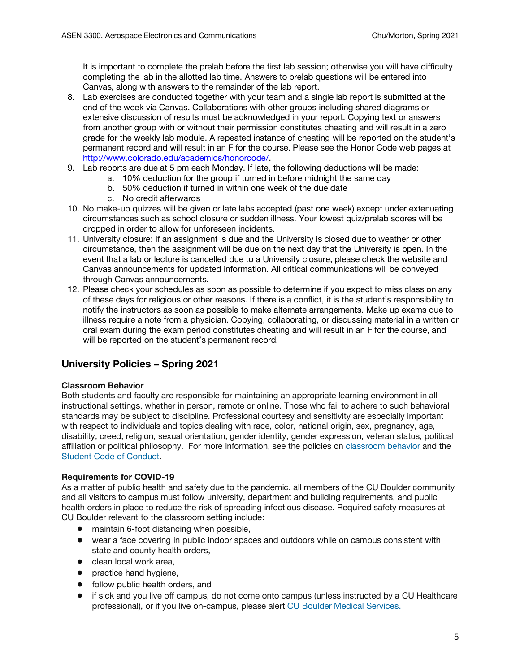It is important to complete the prelab before the first lab session; otherwise you will have difficulty completing the lab in the allotted lab time. Answers to prelab questions will be entered into Canvas, along with answers to the remainder of the lab report.

- 8. Lab exercises are conducted together with your team and a single lab report is submitted at the end of the week via Canvas. Collaborations with other groups including shared diagrams or extensive discussion of results must be acknowledged in your report. Copying text or answers from another group with or without their permission constitutes cheating and will result in a zero grade for the weekly lab module. A repeated instance of cheating will be reported on the student's permanent record and will result in an F for the course. Please see the Honor Code web pages at http://www.colorado.edu/academics/honorcode/.
- 9. Lab reports are due at 5 pm each Monday. If late, the following deductions will be made:
	- a. 10% deduction for the group if turned in before midnight the same day
		- b. 50% deduction if turned in within one week of the due date
		- c. No credit afterwards
- 10. No make-up quizzes will be given or late labs accepted (past one week) except under extenuating circumstances such as school closure or sudden illness. Your lowest quiz/prelab scores will be dropped in order to allow for unforeseen incidents.
- 11. University closure: If an assignment is due and the University is closed due to weather or other circumstance, then the assignment will be due on the next day that the University is open. In the event that a lab or lecture is cancelled due to a University closure, please check the website and Canvas announcements for updated information. All critical communications will be conveyed through Canvas announcements.
- 12. Please check your schedules as soon as possible to determine if you expect to miss class on any of these days for religious or other reasons. If there is a conflict, it is the student's responsibility to notify the instructors as soon as possible to make alternate arrangements. Make up exams due to illness require a note from a physician. Copying, collaborating, or discussing material in a written or oral exam during the exam period constitutes cheating and will result in an F for the course, and will be reported on the student's permanent record.

# **University Policies – Spring 2021**

### **Classroom Behavior**

Both students and faculty are responsible for maintaining an appropriate learning environment in all instructional settings, whether in person, remote or online. Those who fail to adhere to such behavioral standards may be subject to discipline. Professional courtesy and sensitivity are especially important with respect to individuals and topics dealing with race, color, national origin, sex, pregnancy, age, disability, creed, religion, sexual orientation, gender identity, gender expression, veteran status, political affiliation or political philosophy. For more information, see the policies on classroom behavior and the Student Code of Conduct.

### **Requirements for COVID-19**

As a matter of public health and safety due to the pandemic, all members of the CU Boulder community and all visitors to campus must follow university, department and building requirements, and public health orders in place to reduce the risk of spreading infectious disease. Required safety measures at CU Boulder relevant to the classroom setting include:

- maintain 6-foot distancing when possible,
- wear a face covering in public indoor spaces and outdoors while on campus consistent with state and county health orders,
- clean local work area.
- practice hand hygiene,
- follow public health orders, and
- if sick and you live off campus, do not come onto campus (unless instructed by a CU Healthcare professional), or if you live on-campus, please alert CU Boulder Medical Services.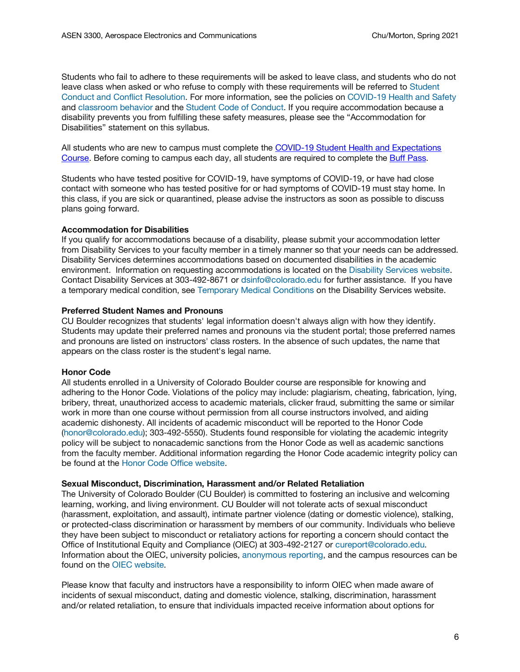Students who fail to adhere to these requirements will be asked to leave class, and students who do not leave class when asked or who refuse to comply with these requirements will be referred to Student Conduct and Conflict Resolution. For more information, see the policies on COVID-19 Health and Safety and classroom behavior and the Student Code of Conduct. If you require accommodation because a disability prevents you from fulfilling these safety measures, please see the "Accommodation for Disabilities" statement on this syllabus.

All students who are new to campus must complete the COVID-19 Student Health and Expectations Course. Before coming to campus each day, all students are required to complete the Buff Pass.

Students who have tested positive for COVID-19, have symptoms of COVID-19, or have had close contact with someone who has tested positive for or had symptoms of COVID-19 must stay home. In this class, if you are sick or quarantined, please advise the instructors as soon as possible to discuss plans going forward.

#### **Accommodation for Disabilities**

If you qualify for accommodations because of a disability, please submit your accommodation letter from Disability Services to your faculty member in a timely manner so that your needs can be addressed. Disability Services determines accommodations based on documented disabilities in the academic environment. Information on requesting accommodations is located on the Disability Services website. Contact Disability Services at 303-492-8671 or dsinfo@colorado.edu for further assistance. If you have a temporary medical condition, see Temporary Medical Conditions on the Disability Services website.

#### **Preferred Student Names and Pronouns**

CU Boulder recognizes that students' legal information doesn't always align with how they identify. Students may update their preferred names and pronouns via the student portal; those preferred names and pronouns are listed on instructors' class rosters. In the absence of such updates, the name that appears on the class roster is the student's legal name.

### **Honor Code**

All students enrolled in a University of Colorado Boulder course are responsible for knowing and adhering to the Honor Code. Violations of the policy may include: plagiarism, cheating, fabrication, lying, bribery, threat, unauthorized access to academic materials, clicker fraud, submitting the same or similar work in more than one course without permission from all course instructors involved, and aiding academic dishonesty. All incidents of academic misconduct will be reported to the Honor Code (honor@colorado.edu); 303-492-5550). Students found responsible for violating the academic integrity policy will be subject to nonacademic sanctions from the Honor Code as well as academic sanctions from the faculty member. Additional information regarding the Honor Code academic integrity policy can be found at the Honor Code Office website.

#### **Sexual Misconduct, Discrimination, Harassment and/or Related Retaliation**

The University of Colorado Boulder (CU Boulder) is committed to fostering an inclusive and welcoming learning, working, and living environment. CU Boulder will not tolerate acts of sexual misconduct (harassment, exploitation, and assault), intimate partner violence (dating or domestic violence), stalking, or protected-class discrimination or harassment by members of our community. Individuals who believe they have been subject to misconduct or retaliatory actions for reporting a concern should contact the Office of Institutional Equity and Compliance (OIEC) at 303-492-2127 or cureport@colorado.edu. Information about the OIEC, university policies, anonymous reporting, and the campus resources can be found on the OIEC website.

Please know that faculty and instructors have a responsibility to inform OIEC when made aware of incidents of sexual misconduct, dating and domestic violence, stalking, discrimination, harassment and/or related retaliation, to ensure that individuals impacted receive information about options for